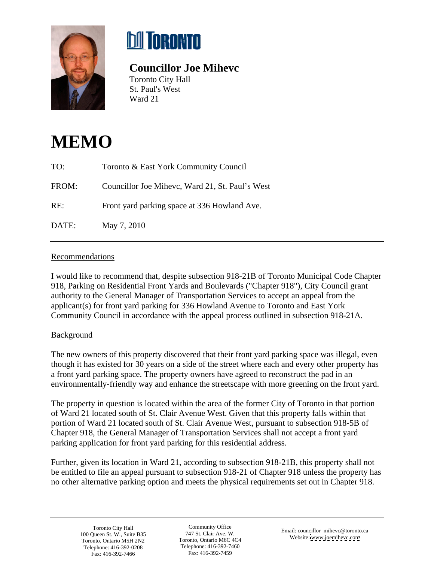



## **Councillor Joe Mihevc**

Toronto City Hall St. Paul's West Ward 21

## **MEMO**

| TO:   | Toronto & East York Community Council           |
|-------|-------------------------------------------------|
| FROM: | Councillor Joe Mihevc, Ward 21, St. Paul's West |
| RE:   | Front yard parking space at 336 Howland Ave.    |
| DATE: | May 7, 2010                                     |

## **Recommendations**

I would like to recommend that, despite subsection 918-21B of Toronto Municipal Code Chapter 918, Parking on Residential Front Yards and Boulevards ("Chapter 918"), City Council grant authority to the General Manager of Transportation Services to accept an appeal from the applicant(s) for front yard parking for 336 Howland Avenue to Toronto and East York Community Council in accordance with the appeal process outlined in subsection 918-21A.

## **Background Background**

The new owners of this property discovered that their front yard parking space was illegal, even though it has existed for 30 years on a side of the street where each and every other property has a front yard parking space. The property owners have agreed to reconstruct the pad in an environmentally-friendly way and enhance the streetscape with more greening on the front yard.

The property in question is located within the area of the former City of Toronto in that portion of Ward 21 located south of St. Clair Avenue West. Given that this property falls within that portion of Ward 21 located south of St. Clair Avenue West, pursuant to subsection 918-5B of Chapter 918, the General Manager of Transportation Services shall not accept a front yard parking application for front yard parking for this residential address.

Further, given its location in Ward 21, according to subsection 918-21B, this property shall not be entitled to file an appeal pursuant to subsection 918-21 of Chapter 918 unless the property has no other alternative parking option and meets the physical requirements set out in Chapter 918.

Toronto City Hall Community Office Email: councillor\_mihevc@toronto.ca<br>100 Queen St. W., Suite B35 747 St. Clair Ave. W. Website www.jacmihevc.gom Toronto, Ontario M5H 2N2 Toronto, Ontario M6C 4C4 Toronto, Ontario M6C 4C4 Telephone: 416-392-0208 Telephone: 416-392-7460 Fax: 416-392-7466

Community Office English consider million Characters of Toronto, Ontario M6C 4C4 website. www.joenineve.com Telephone: 416-392-7460 Fax: 416-392-7459

Email: councillor\_mihevc@toronto.ca Website: [www.joemihevc.com](http://www.joemihevc.com) 747 St. Clair Ave. W. Email: councillor\_minevc@toronto.<br>Toronto, Ontario M6C 4C4 Website: www.joemihevc.com 100 Queen St. W., Suite B35  $\frac{1}{2}$  147 St. Clair Ave. W.